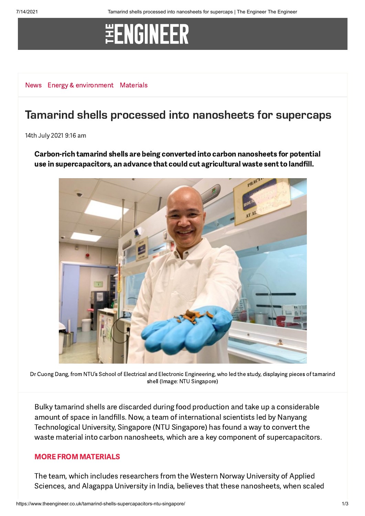# **\#ENGINEER**

[News](https://www.theengineer.co.uk/news/) Energy & [environment](https://www.theengineer.co.uk/energy-and-environment/) [Materials](https://www.theengineer.co.uk/channels/materials/)

### Tamarind shells processed into nanosheets for supercaps

14th July 2021 9:16 am

Carbon-rich tamarind shells are being converted into carbon nanosheets for potential use in supercapacitors, an advance that could cut agricultural waste sent to landfill.



Dr Cuong Dang, from NTU's School of Electrical and Electronic Engineering, who led the study, displaying pieces of tamarind shell (Image: NTU Singapore)

Bulky tamarind shells are discarded during food production and take up a considerable amount of space in landfills. Now, a team of international scientists led by Nanyang Technological University, Singapore (NTU Singapore) has found a way to convert the waste material into carbon nanosheets, which are a key component of supercapacitors.

#### MORE FROM [MATERIALS](https://www.theengineer.co.uk/materials/)

The team, which includes researchers from the Western Norway University of Applied Sciences, and Alagappa University in India, believes that these nanosheets, when scaled